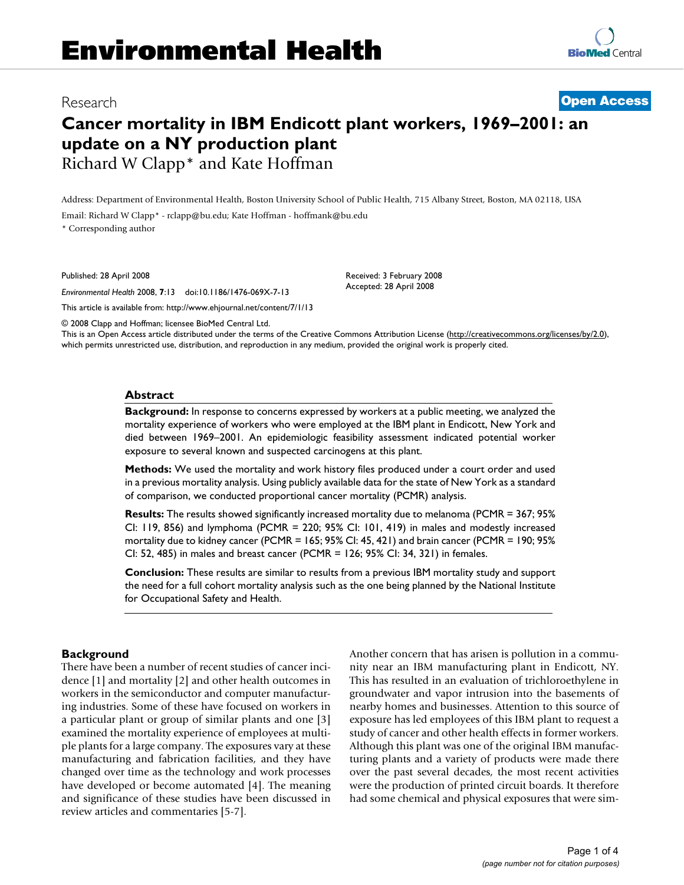# Research **[Open Access](http://www.biomedcentral.com/info/about/charter/)**

# **Cancer mortality in IBM Endicott plant workers, 1969–2001: an update on a NY production plant** Richard W Clapp\* and Kate Hoffman

Address: Department of Environmental Health, Boston University School of Public Health, 715 Albany Street, Boston, MA 02118, USA Email: Richard W Clapp\* - rclapp@bu.edu; Kate Hoffman - hoffmank@bu.edu \* Corresponding author

Published: 28 April 2008

*Environmental Health* 2008, **7**:13 doi:10.1186/1476-069X-7-13

[This article is available from: http://www.ehjournal.net/content/7/1/13](http://www.ehjournal.net/content/7/1/13)

© 2008 Clapp and Hoffman; licensee BioMed Central Ltd.

This is an Open Access article distributed under the terms of the Creative Commons Attribution License [\(http://creativecommons.org/licenses/by/2.0\)](http://creativecommons.org/licenses/by/2.0), which permits unrestricted use, distribution, and reproduction in any medium, provided the original work is properly cited.

Received: 3 February 2008 Accepted: 28 April 2008

#### **Abstract**

**Background:** In response to concerns expressed by workers at a public meeting, we analyzed the mortality experience of workers who were employed at the IBM plant in Endicott, New York and died between 1969–2001. An epidemiologic feasibility assessment indicated potential worker exposure to several known and suspected carcinogens at this plant.

**Methods:** We used the mortality and work history files produced under a court order and used in a previous mortality analysis. Using publicly available data for the state of New York as a standard of comparison, we conducted proportional cancer mortality (PCMR) analysis.

**Results:** The results showed significantly increased mortality due to melanoma (PCMR = 367; 95% CI: 119, 856) and lymphoma (PCMR = 220; 95% CI: 101, 419) in males and modestly increased mortality due to kidney cancer (PCMR = 165; 95% CI: 45, 421) and brain cancer (PCMR = 190; 95% CI: 52, 485) in males and breast cancer (PCMR = 126; 95% CI: 34, 321) in females.

**Conclusion:** These results are similar to results from a previous IBM mortality study and support the need for a full cohort mortality analysis such as the one being planned by the National Institute for Occupational Safety and Health.

#### **Background**

There have been a number of recent studies of cancer incidence [1] and mortality [2] and other health outcomes in workers in the semiconductor and computer manufacturing industries. Some of these have focused on workers in a particular plant or group of similar plants and one [3] examined the mortality experience of employees at multiple plants for a large company. The exposures vary at these manufacturing and fabrication facilities, and they have changed over time as the technology and work processes have developed or become automated [4]. The meaning and significance of these studies have been discussed in review articles and commentaries [5-7].

Another concern that has arisen is pollution in a community near an IBM manufacturing plant in Endicott, NY. This has resulted in an evaluation of trichloroethylene in groundwater and vapor intrusion into the basements of nearby homes and businesses. Attention to this source of exposure has led employees of this IBM plant to request a study of cancer and other health effects in former workers. Although this plant was one of the original IBM manufacturing plants and a variety of products were made there over the past several decades, the most recent activities were the production of printed circuit boards. It therefore had some chemical and physical exposures that were sim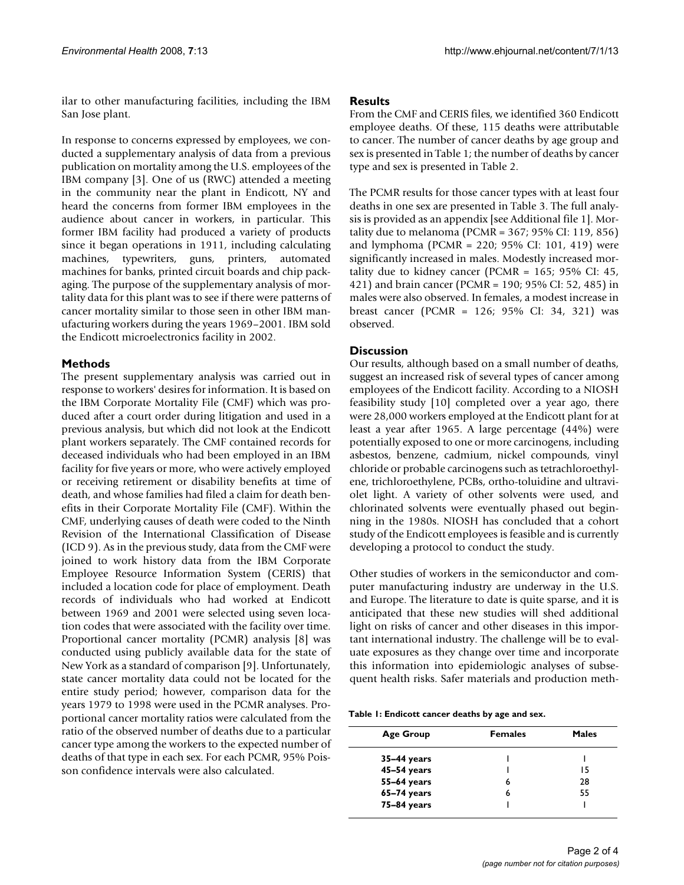ilar to other manufacturing facilities, including the IBM San Jose plant.

In response to concerns expressed by employees, we conducted a supplementary analysis of data from a previous publication on mortality among the U.S. employees of the IBM company [3]. One of us (RWC) attended a meeting in the community near the plant in Endicott, NY and heard the concerns from former IBM employees in the audience about cancer in workers, in particular. This former IBM facility had produced a variety of products since it began operations in 1911, including calculating machines, typewriters, guns, printers, automated machines for banks, printed circuit boards and chip packaging. The purpose of the supplementary analysis of mortality data for this plant was to see if there were patterns of cancer mortality similar to those seen in other IBM manufacturing workers during the years 1969–2001. IBM sold the Endicott microelectronics facility in 2002.

### **Methods**

The present supplementary analysis was carried out in response to workers' desires for information. It is based on the IBM Corporate Mortality File (CMF) which was produced after a court order during litigation and used in a previous analysis, but which did not look at the Endicott plant workers separately. The CMF contained records for deceased individuals who had been employed in an IBM facility for five years or more, who were actively employed or receiving retirement or disability benefits at time of death, and whose families had filed a claim for death benefits in their Corporate Mortality File (CMF). Within the CMF, underlying causes of death were coded to the Ninth Revision of the International Classification of Disease (ICD 9). As in the previous study, data from the CMF were joined to work history data from the IBM Corporate Employee Resource Information System (CERIS) that included a location code for place of employment. Death records of individuals who had worked at Endicott between 1969 and 2001 were selected using seven location codes that were associated with the facility over time. Proportional cancer mortality (PCMR) analysis [8] was conducted using publicly available data for the state of New York as a standard of comparison [9]. Unfortunately, state cancer mortality data could not be located for the entire study period; however, comparison data for the years 1979 to 1998 were used in the PCMR analyses. Proportional cancer mortality ratios were calculated from the ratio of the observed number of deaths due to a particular cancer type among the workers to the expected number of deaths of that type in each sex. For each PCMR, 95% Poisson confidence intervals were also calculated.

### **Results**

From the CMF and CERIS files, we identified 360 Endicott employee deaths. Of these, 115 deaths were attributable to cancer. The number of cancer deaths by age group and sex is presented in Table 1; the number of deaths by cancer type and sex is presented in Table 2.

The PCMR results for those cancer types with at least four deaths in one sex are presented in Table 3. The full analysis is provided as an appendix [see Additional file 1]. Mortality due to melanoma (PCMR = 367; 95% CI: 119, 856) and lymphoma (PCMR = 220; 95% CI: 101, 419) were significantly increased in males. Modestly increased mortality due to kidney cancer (PCMR =  $165$ ; 95% CI: 45, 421) and brain cancer (PCMR = 190; 95% CI: 52, 485) in males were also observed. In females, a modest increase in breast cancer (PCMR = 126; 95% CI: 34, 321) was observed.

# **Discussion**

Our results, although based on a small number of deaths, suggest an increased risk of several types of cancer among employees of the Endicott facility. According to a NIOSH feasibility study [10] completed over a year ago, there were 28,000 workers employed at the Endicott plant for at least a year after 1965. A large percentage (44%) were potentially exposed to one or more carcinogens, including asbestos, benzene, cadmium, nickel compounds, vinyl chloride or probable carcinogens such as tetrachloroethylene, trichloroethylene, PCBs, ortho-toluidine and ultraviolet light. A variety of other solvents were used, and chlorinated solvents were eventually phased out beginning in the 1980s. NIOSH has concluded that a cohort study of the Endicott employees is feasible and is currently developing a protocol to conduct the study.

Other studies of workers in the semiconductor and computer manufacturing industry are underway in the U.S. and Europe. The literature to date is quite sparse, and it is anticipated that these new studies will shed additional light on risks of cancer and other diseases in this important international industry. The challenge will be to evaluate exposures as they change over time and incorporate this information into epidemiologic analyses of subsequent health risks. Safer materials and production meth-

**Table 1: Endicott cancer deaths by age and sex.**

| Age Group     | <b>Females</b> | <b>Males</b> |  |
|---------------|----------------|--------------|--|
| $35-44$ years |                |              |  |
| 45-54 years   |                | 15           |  |
| 55-64 years   | 6              | 28           |  |
| 65-74 years   | 6              | 55           |  |
| 75-84 years   |                |              |  |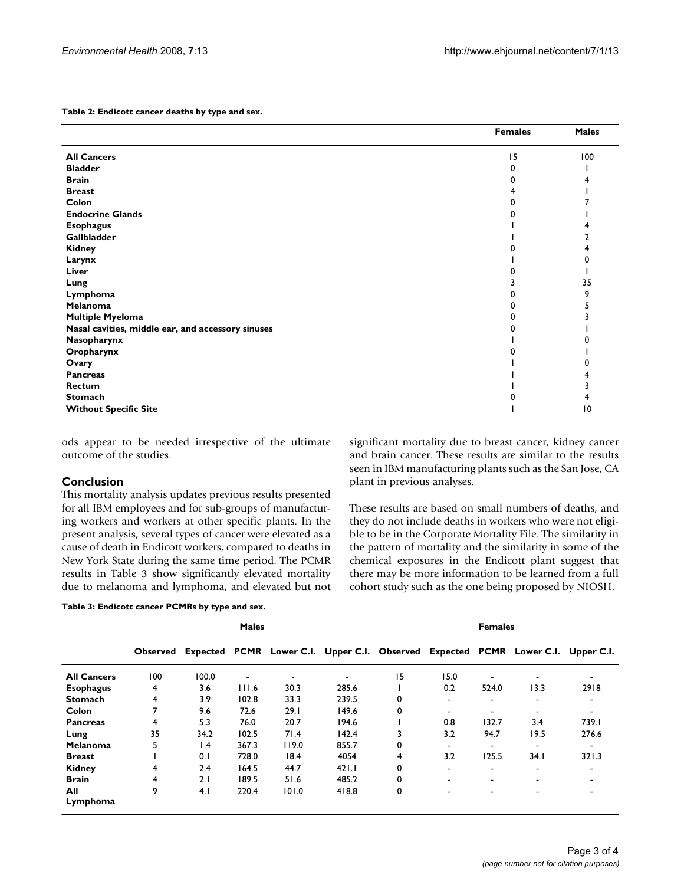**Table 2: Endicott cancer deaths by type and sex.**

|                                                   | <b>Females</b> | <b>Males</b> |
|---------------------------------------------------|----------------|--------------|
| <b>All Cancers</b>                                | 15             | 100          |
| <b>Bladder</b>                                    | 0              |              |
| <b>Brain</b>                                      |                |              |
| <b>Breast</b>                                     |                |              |
| Colon                                             |                |              |
| <b>Endocrine Glands</b>                           |                |              |
| <b>Esophagus</b>                                  |                |              |
| Gallbladder                                       |                |              |
| <b>Kidney</b>                                     |                |              |
| Larynx                                            |                |              |
| Liver                                             |                |              |
| Lung                                              |                | 35           |
| Lymphoma                                          |                |              |
| Melanoma                                          |                |              |
| <b>Multiple Myeloma</b>                           |                |              |
| Nasal cavities, middle ear, and accessory sinuses |                |              |
| Nasopharynx                                       |                |              |
| Oropharynx                                        |                |              |
| Ovary                                             |                |              |
| <b>Pancreas</b>                                   |                |              |
| Rectum                                            |                |              |
| <b>Stomach</b>                                    |                |              |
| <b>Without Specific Site</b>                      |                | 10           |

ods appear to be needed irrespective of the ultimate outcome of the studies.

#### **Conclusion**

This mortality analysis updates previous results presented for all IBM employees and for sub-groups of manufacturing workers and workers at other specific plants. In the present analysis, several types of cancer were elevated as a cause of death in Endicott workers, compared to deaths in New York State during the same time period. The PCMR results in Table 3 show significantly elevated mortality due to melanoma and lymphoma, and elevated but not significant mortality due to breast cancer, kidney cancer and brain cancer. These results are similar to the results seen in IBM manufacturing plants such as the San Jose, CA plant in previous analyses.

These results are based on small numbers of deaths, and they do not include deaths in workers who were not eligible to be in the Corporate Mortality File. The similarity in the pattern of mortality and the similarity in some of the chemical exposures in the Endicott plant suggest that there may be more information to be learned from a full cohort study such as the one being proposed by NIOSH.

|  | Table 3: Endicott cancer PCMRs by type and sex. |  |  |  |
|--|-------------------------------------------------|--|--|--|
|  |                                                 |  |  |  |

|                    | <b>Males</b> |                 |                |                          | <b>Females</b>                                                                   |          |                          |                          |                          |       |
|--------------------|--------------|-----------------|----------------|--------------------------|----------------------------------------------------------------------------------|----------|--------------------------|--------------------------|--------------------------|-------|
|                    | Observed     |                 |                |                          | Expected PCMR Lower C.I. Upper C.I. Observed Expected PCMR Lower C.I. Upper C.I. |          |                          |                          |                          |       |
| <b>All Cancers</b> | 100          | 100.0           | $\blacksquare$ | $\overline{\phantom{a}}$ |                                                                                  | 15       | 15.0                     |                          | $\overline{\phantom{a}}$ |       |
| <b>Esophagus</b>   | 4            | 3.6             | 111.6          | 30.3                     | 285.6                                                                            |          | 0.2                      | 524.0                    | 13.3                     | 2918  |
| <b>Stomach</b>     | 4            | 3.9             | 102.8          | 33.3                     | 239.5                                                                            | 0        | $\overline{\phantom{0}}$ |                          |                          |       |
| Colon              | 7            | 9.6             | 72.6           | 29.1                     | 149.6                                                                            | $\Omega$ | $\overline{\phantom{0}}$ |                          |                          |       |
| <b>Pancreas</b>    | 4            | 5.3             | 76.0           | 20.7                     | 194.6                                                                            |          | 0.8                      | 132.7                    | 3.4                      | 739.I |
| Lung               | 35           | 34.2            | 102.5          | 71.4                     | 142.4                                                                            | 3        | 3.2                      | 94.7                     | 19.5                     | 276.6 |
| Melanoma           | 5            | $\mathsf{I}$ .4 | 367.3          | 119.0                    | 855.7                                                                            | $\Omega$ | $\overline{\phantom{a}}$ | -                        |                          |       |
| <b>Breast</b>      |              | 0.1             | 728.0          | 18.4                     | 4054                                                                             | 4        | 3.2                      | 125.5                    | 34.1                     | 321.3 |
| <b>Kidney</b>      | 4            | 2.4             | 164.5          | 44.7                     | 421.1                                                                            | $\Omega$ | $\overline{\phantom{0}}$ | $\overline{\phantom{a}}$ | $\,$                     |       |
| <b>Brain</b>       | 4            | 2.1             | 189.5          | 51.6                     | 485.2                                                                            | 0        | $\overline{\phantom{0}}$ | ۰                        |                          |       |
| All                | 9            | 4.1             | 220.4          | 101.0                    | 418.8                                                                            | 0        |                          |                          |                          |       |
| Lymphoma           |              |                 |                |                          |                                                                                  |          |                          |                          |                          |       |